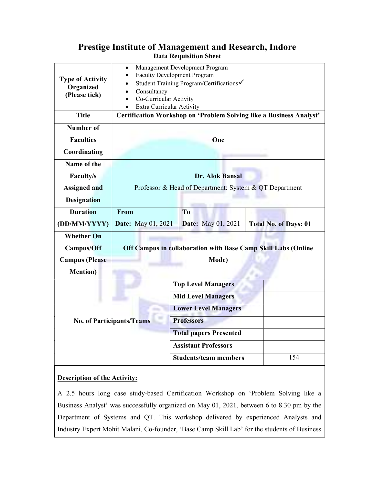## Prestige Institute of Management and Research, Indore Data Requisition Sheet

| <b>Type of Activity</b><br>Organized<br>(Please tick) | Management Development Program<br>$\bullet$<br><b>Faculty Development Program</b><br>Student Training Program/Certifications <del>V</del><br>Consultancy<br>Co-Curricular Activity<br>Extra Curricular Activity |  |                               |                              |
|-------------------------------------------------------|-----------------------------------------------------------------------------------------------------------------------------------------------------------------------------------------------------------------|--|-------------------------------|------------------------------|
| <b>Title</b>                                          | Certification Workshop on 'Problem Solving like a Business Analyst'                                                                                                                                             |  |                               |                              |
| Number of                                             |                                                                                                                                                                                                                 |  |                               |                              |
| <b>Faculties</b>                                      | One                                                                                                                                                                                                             |  |                               |                              |
| Coordinating                                          |                                                                                                                                                                                                                 |  |                               |                              |
| Name of the                                           |                                                                                                                                                                                                                 |  |                               |                              |
| <b>Faculty/s</b>                                      | <b>Dr. Alok Bansal</b>                                                                                                                                                                                          |  |                               |                              |
| <b>Assigned and</b>                                   | Professor & Head of Department: System & QT Department                                                                                                                                                          |  |                               |                              |
| <b>Designation</b>                                    |                                                                                                                                                                                                                 |  |                               |                              |
| <b>Duration</b>                                       | From                                                                                                                                                                                                            |  | T <sub>o</sub>                |                              |
| (DD/MM/YYYY)                                          | <b>Date:</b> May 01, 2021                                                                                                                                                                                       |  | <b>Date:</b> May 01, 2021     | <b>Total No. of Days: 01</b> |
| <b>Whether On</b>                                     |                                                                                                                                                                                                                 |  |                               |                              |
| Campus/Off                                            | Off Campus in collaboration with Base Camp Skill Labs (Online                                                                                                                                                   |  |                               |                              |
| <b>Campus</b> (Please                                 | Mode)                                                                                                                                                                                                           |  |                               |                              |
| <b>Mention</b> )                                      |                                                                                                                                                                                                                 |  |                               |                              |
|                                                       |                                                                                                                                                                                                                 |  | <b>Top Level Managers</b>     |                              |
| <b>No. of Participants/Teams</b>                      |                                                                                                                                                                                                                 |  | <b>Mid Level Managers</b>     |                              |
|                                                       |                                                                                                                                                                                                                 |  | <b>Lower Level Managers</b>   |                              |
|                                                       |                                                                                                                                                                                                                 |  | <b>Professors</b>             |                              |
|                                                       |                                                                                                                                                                                                                 |  | <b>Total papers Presented</b> |                              |
|                                                       |                                                                                                                                                                                                                 |  | <b>Assistant Professors</b>   |                              |
|                                                       |                                                                                                                                                                                                                 |  | <b>Students/team members</b>  | 154                          |

## Description of the Activity:

A 2.5 hours long case study-based Certification Workshop on 'Problem Solving like a Business Analyst' was successfully organized on May 01, 2021, between 6 to 8.30 pm by the Department of Systems and QT. This workshop delivered by experienced Analysts and Industry Expert Mohit Malani, Co-founder, 'Base Camp Skill Lab' for the students of Business